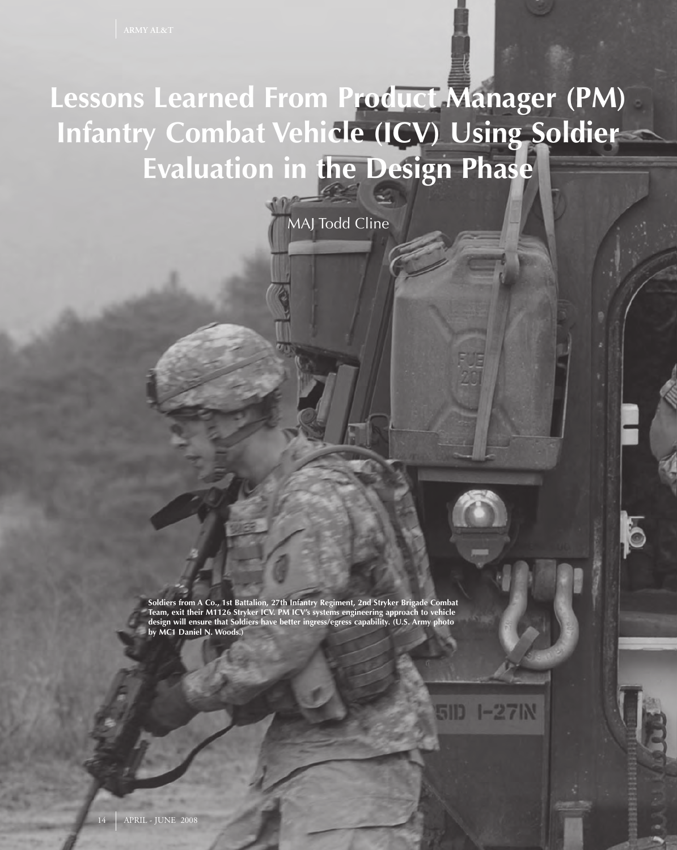## **Lessons Learned From Product Manager (PM) Infantry Combat Vehicle (ICV) Using Soldier Evaluation in the Design Phase**

MAJ Todd Cline

**Soldiers from A Co., 1st Battalion, 27th Infantry Regiment, 2nd Stryker Brigade Combat Team, exit their M1126 Stryker ICV. PM ICV's systems engineering approach to vehicle design will ensure that Soldiers have better ingress/egress capability. (U.S. Army photo by MC1 Daniel N. Woods.)**

**1-27IN**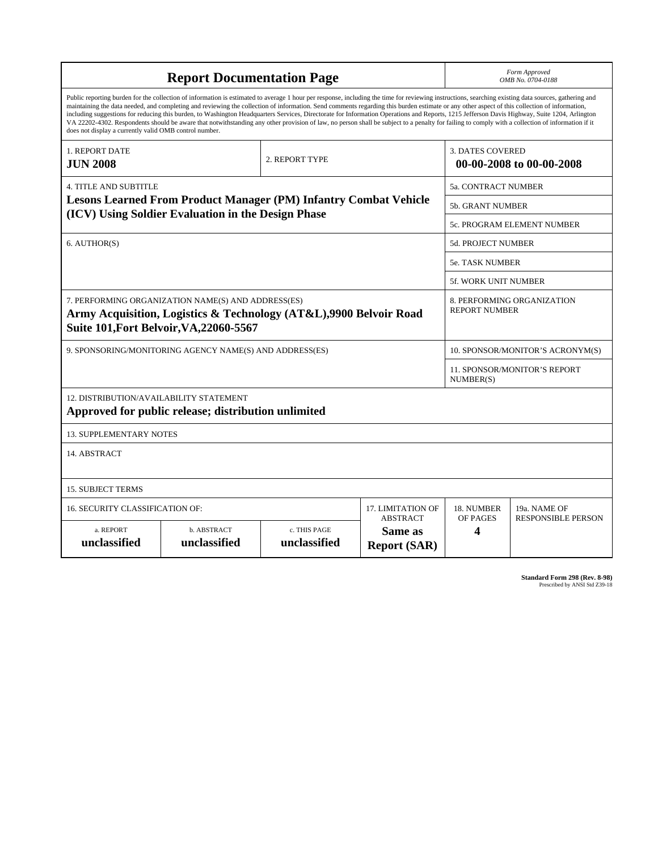| <b>Report Documentation Page</b>                                                                                                                                                                                                                                                                                                                                                                                                                                                                                                                                                                                                                                                                                                                                                                                                                                   |                             |                              |                                                   | Form Approved<br>OMB No. 0704-0188                  |                           |
|--------------------------------------------------------------------------------------------------------------------------------------------------------------------------------------------------------------------------------------------------------------------------------------------------------------------------------------------------------------------------------------------------------------------------------------------------------------------------------------------------------------------------------------------------------------------------------------------------------------------------------------------------------------------------------------------------------------------------------------------------------------------------------------------------------------------------------------------------------------------|-----------------------------|------------------------------|---------------------------------------------------|-----------------------------------------------------|---------------------------|
| Public reporting burden for the collection of information is estimated to average 1 hour per response, including the time for reviewing instructions, searching existing data sources, gathering and<br>maintaining the data needed, and completing and reviewing the collection of information. Send comments regarding this burden estimate or any other aspect of this collection of information,<br>including suggestions for reducing this burden, to Washington Headquarters Services, Directorate for Information Operations and Reports, 1215 Jefferson Davis Highway, Suite 1204, Arlington<br>VA 22202-4302. Respondents should be aware that notwithstanding any other provision of law, no person shall be subject to a penalty for failing to comply with a collection of information if it<br>does not display a currently valid OMB control number. |                             |                              |                                                   |                                                     |                           |
| <b>1. REPORT DATE</b><br><b>JUN 2008</b>                                                                                                                                                                                                                                                                                                                                                                                                                                                                                                                                                                                                                                                                                                                                                                                                                           |                             | 2. REPORT TYPE               |                                                   | <b>3. DATES COVERED</b><br>00-00-2008 to 00-00-2008 |                           |
| <b>4. TITLE AND SUBTITLE</b>                                                                                                                                                                                                                                                                                                                                                                                                                                                                                                                                                                                                                                                                                                                                                                                                                                       |                             |                              |                                                   | 5a. CONTRACT NUMBER                                 |                           |
| <b>Lesons Learned From Product Manager (PM) Infantry Combat Vehicle</b><br>(ICV) Using Soldier Evaluation in the Design Phase                                                                                                                                                                                                                                                                                                                                                                                                                                                                                                                                                                                                                                                                                                                                      |                             |                              |                                                   | <b>5b. GRANT NUMBER</b>                             |                           |
|                                                                                                                                                                                                                                                                                                                                                                                                                                                                                                                                                                                                                                                                                                                                                                                                                                                                    |                             |                              |                                                   | 5c. PROGRAM ELEMENT NUMBER                          |                           |
| 6. AUTHOR(S)                                                                                                                                                                                                                                                                                                                                                                                                                                                                                                                                                                                                                                                                                                                                                                                                                                                       |                             |                              |                                                   | 5d. PROJECT NUMBER                                  |                           |
|                                                                                                                                                                                                                                                                                                                                                                                                                                                                                                                                                                                                                                                                                                                                                                                                                                                                    |                             |                              |                                                   | <b>5e. TASK NUMBER</b>                              |                           |
|                                                                                                                                                                                                                                                                                                                                                                                                                                                                                                                                                                                                                                                                                                                                                                                                                                                                    |                             |                              |                                                   | 5f. WORK UNIT NUMBER                                |                           |
| 7. PERFORMING ORGANIZATION NAME(S) AND ADDRESS(ES)<br>Army Acquisition, Logistics & Technology (AT&L),9900 Belvoir Road<br>Suite 101, Fort Belvoir, VA, 22060-5567                                                                                                                                                                                                                                                                                                                                                                                                                                                                                                                                                                                                                                                                                                 |                             |                              |                                                   | 8. PERFORMING ORGANIZATION<br><b>REPORT NUMBER</b>  |                           |
| 9. SPONSORING/MONITORING AGENCY NAME(S) AND ADDRESS(ES)                                                                                                                                                                                                                                                                                                                                                                                                                                                                                                                                                                                                                                                                                                                                                                                                            |                             |                              |                                                   | 10. SPONSOR/MONITOR'S ACRONYM(S)                    |                           |
|                                                                                                                                                                                                                                                                                                                                                                                                                                                                                                                                                                                                                                                                                                                                                                                                                                                                    |                             |                              |                                                   | <b>11. SPONSOR/MONITOR'S REPORT</b><br>NUMBER(S)    |                           |
| 12. DISTRIBUTION/AVAILABILITY STATEMENT<br>Approved for public release; distribution unlimited                                                                                                                                                                                                                                                                                                                                                                                                                                                                                                                                                                                                                                                                                                                                                                     |                             |                              |                                                   |                                                     |                           |
| <b>13. SUPPLEMENTARY NOTES</b>                                                                                                                                                                                                                                                                                                                                                                                                                                                                                                                                                                                                                                                                                                                                                                                                                                     |                             |                              |                                                   |                                                     |                           |
| 14. ABSTRACT                                                                                                                                                                                                                                                                                                                                                                                                                                                                                                                                                                                                                                                                                                                                                                                                                                                       |                             |                              |                                                   |                                                     |                           |
| <b>15. SUBJECT TERMS</b>                                                                                                                                                                                                                                                                                                                                                                                                                                                                                                                                                                                                                                                                                                                                                                                                                                           |                             |                              |                                                   |                                                     |                           |
| 16. SECURITY CLASSIFICATION OF:<br>17. LIMITATION OF                                                                                                                                                                                                                                                                                                                                                                                                                                                                                                                                                                                                                                                                                                                                                                                                               |                             |                              |                                                   | 18. NUMBER                                          | 19a. NAME OF              |
| a. REPORT<br>unclassified                                                                                                                                                                                                                                                                                                                                                                                                                                                                                                                                                                                                                                                                                                                                                                                                                                          | b. ABSTRACT<br>unclassified | c. THIS PAGE<br>unclassified | <b>ABSTRACT</b><br>Same as<br><b>Report (SAR)</b> | OF PAGES<br>4                                       | <b>RESPONSIBLE PERSON</b> |

**Standard Form 298 (Rev. 8-98)**<br>Prescribed by ANSI Std Z39-18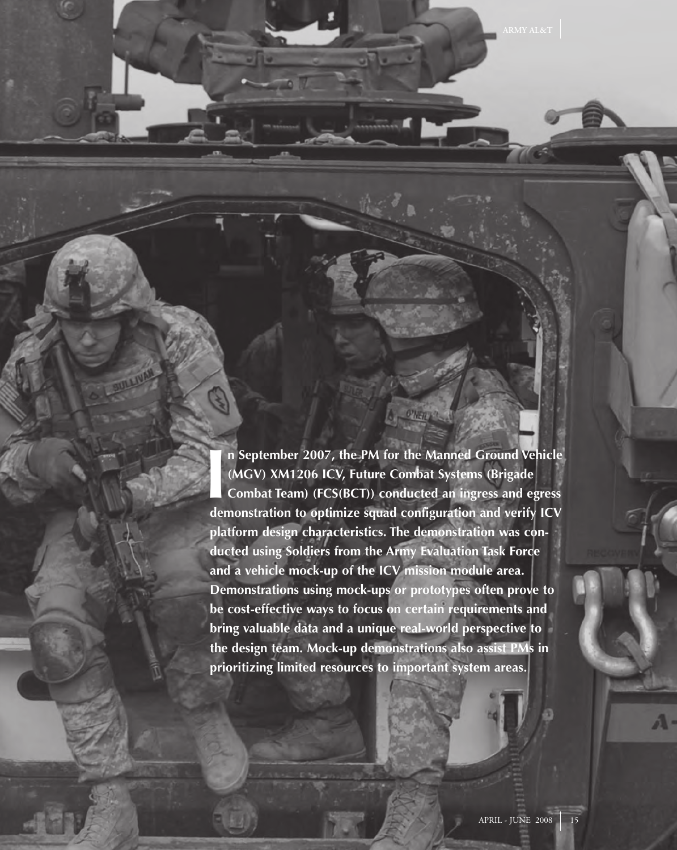II n September 2007, the PM for the Manned Ground Vehicle (MGV) XM1206 ICV, Future Combat Systems (Brigade Combat Team) (FCS(BCT)) conducted an ingress and egress demonstration to optimize squad configuration and verify IC **n September 2007, the PM for the Manned Ground Vehicle (MGV) XM1206 ICV, Future Combat Systems (Brigade Combat Team) (FCS(BCT)) conducted an ingress and egress platform design characteristics. The demonstration was conducted using Soldiers from the Army Evaluation Task Force and a vehicle mock-up of the ICV mission module area. Demonstrations using mock-ups or prototypes often prove to be cost-effective ways to focus on certain requirements and bring valuable data and a unique real-world perspective to the design team. Mock-up demonstrations also assist PMs in prioritizing limited resources to important system areas.**

O'NEILA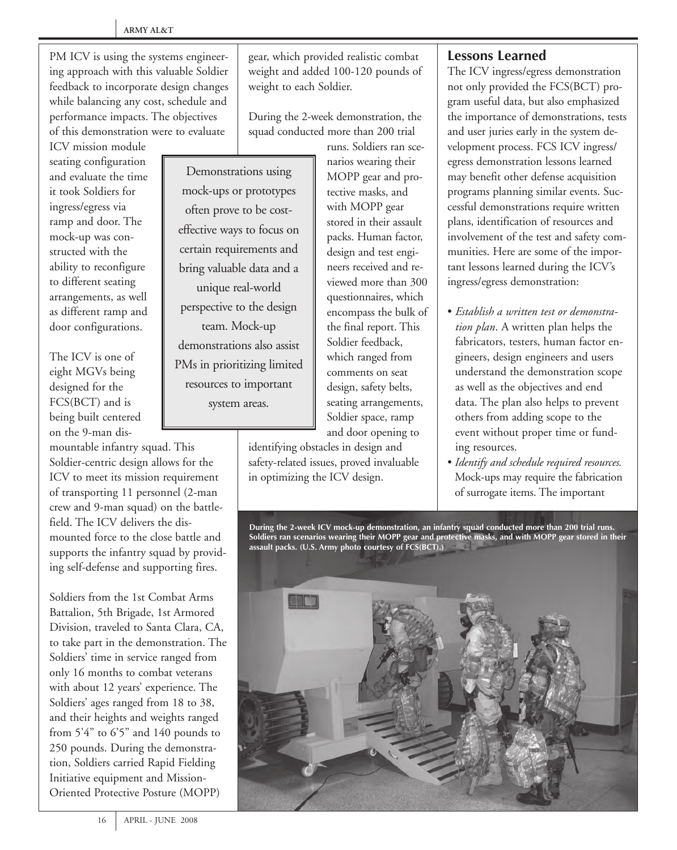PM ICV is using the systems engineering approach with this valuable Soldier feedback to incorporate design changes while balancing any cost, schedule and performance impacts. The objectives of this demonstration were to evaluate

ICV mission module seating configuration and evaluate the time it took Soldiers for ingress/egress via ramp and door. The mock-up was constructed with the ability to reconfigure to different seating arrangements, as well as different ramp and door configurations.

The ICV is one of eight MGVs being designed for the FCS(BCT) and is being built centered on the 9-man dis-

mountable infantry squad. This Soldier-centric design allows for the ICV to meet its mission requirement of transporting 11 personnel (2-man crew and 9-man squad) on the battlefield. The ICV delivers the dismounted force to the close battle and supports the infantry squad by providing self-defense and supporting fires.

Soldiers from the 1st Combat Arms Battalion, 5th Brigade, 1st Armored Division, traveled to Santa Clara, CA, to take part in the demonstration. The Soldiers' time in service ranged from only 16 months to combat veterans with about 12 years' experience. The Soldiers' ages ranged from 18 to 38, and their heights and weights ranged from 5'4" to 6'5" and 140 pounds to 250 pounds. During the demonstration, Soldiers carried Rapid Fielding Initiative equipment and Mission-Oriented Protective Posture (MOPP)

gear, which provided realistic combat weight and added 100-120 pounds of weight to each Soldier.

During the 2-week demonstration, the squad conducted more than 200 trial

Demonstrations using mock-ups or prototypes often prove to be costeffective ways to focus on certain requirements and bring valuable data and a unique real-world perspective to the design team. Mock-up demonstrations also assist PMs in prioritizing limited resources to important system areas.

runs. Soldiers ran scenarios wearing their MOPP gear and protective masks, and with MOPP gear stored in their assault packs. Human factor, design and test engineers received and reviewed more than 300 questionnaires, which encompass the bulk of the final report. This Soldier feedback, which ranged from comments on seat design, safety belts, seating arrangements, Soldier space, ramp and door opening to

identifying obstacles in design and safety-related issues, proved invaluable in optimizing the ICV design.

## **Lessons Learned**

The ICV ingress/egress demonstration not only provided the FCS(BCT) program useful data, but also emphasized the importance of demonstrations, tests and user juries early in the system development process. FCS ICV ingress/ egress demonstration lessons learned may benefit other defense acquisition programs planning similar events. Successful demonstrations require written plans, identification of resources and involvement of the test and safety communities. Here are some of the important lessons learned during the ICV's ingress/egress demonstration:

- *Establish a written test or demonstration plan*. A written plan helps the fabricators, testers, human factor engineers, design engineers and users understand the demonstration scope as well as the objectives and end data. The plan also helps to prevent others from adding scope to the event without proper time or funding resources.
- *Identify and schedule required resources.* Mock-ups may require the fabrication of surrogate items. The important

**During the 2-week ICV mock-up demonstration, an infantry squad conducted more than 200 trial runs. Soldiers ran scenarios wearing their MOPP gear and protective masks, and with MOPP gear stored in their assault packs. (U.S. Army photo courtesy of FCS(BCT).)**